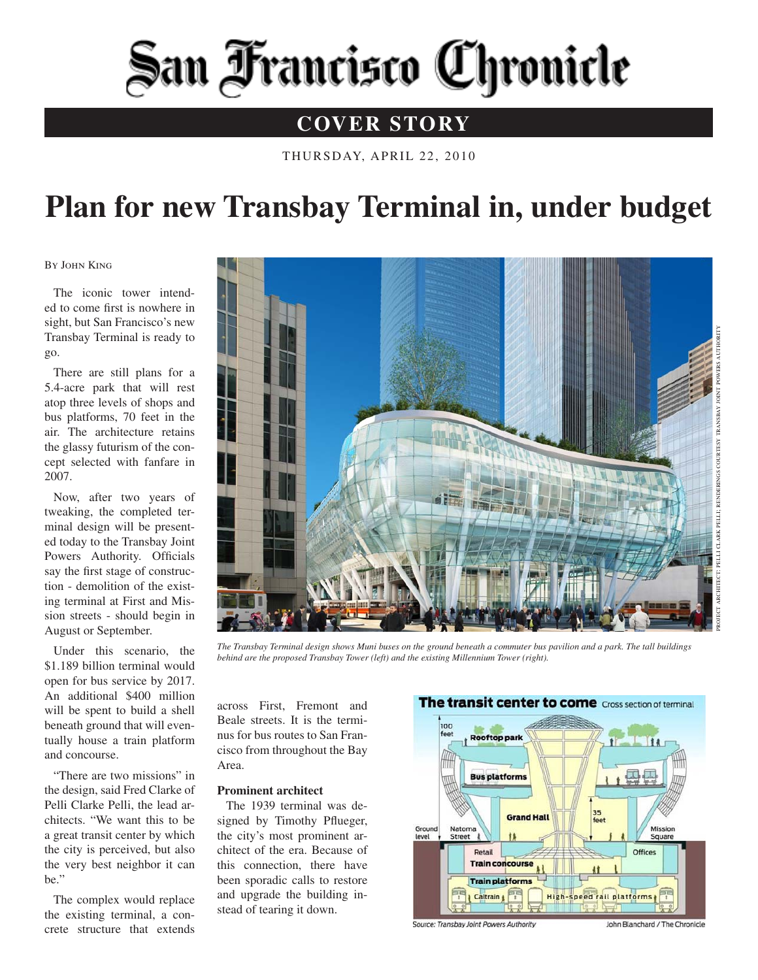# San Francisco Chronicle

### **COVER STORY**

THURSDAY, APRIL 22, 2010

## **Plan for new Transbay Terminal in, under budget**

By John King

The iconic tower intended to come first is nowhere in sight, but San Francisco's new Transbay Terminal is ready to go.

There are still plans for a 5.4-acre park that will rest atop three levels of shops and bus platforms, 70 feet in the air. The architecture retains the glassy futurism of the concept selected with fanfare in 2007.

Now, after two years of tweaking, the completed terminal design will be presented today to the Transbay Joint Powers Authority. Officials say the first stage of construction - demolition of the existing terminal at First and Mission streets - should begin in August or September.

Under this scenario, the \$1.189 billion terminal would open for bus service by 2017. An additional \$400 million will be spent to build a shell beneath ground that will eventually house a train platform and concourse.

"There are two missions" in the design, said Fred Clarke of Pelli Clarke Pelli, the lead architects. "We want this to be a great transit center by which the city is perceived, but also the very best neighbor it can be."

The complex would replace the existing terminal, a concrete structure that extends



*The Transbay Terminal design shows Muni buses on the ground beneath a commuter bus pavilion and a park. The tall buildings behind are the proposed Transbay Tower (left) and the existing Millennium Tower (right).*

across First, Fremont and Beale streets. It is the terminus for bus routes to San Francisco from throughout the Bay Area.

#### **Prominent architect**

The 1939 terminal was designed by Timothy Pflueger, the city's most prominent architect of the era. Because of this connection, there have been sporadic calls to restore and upgrade the building instead of tearing it down.



Source: Transbay Joint Powers Authority

John Blanchard / The Chronicle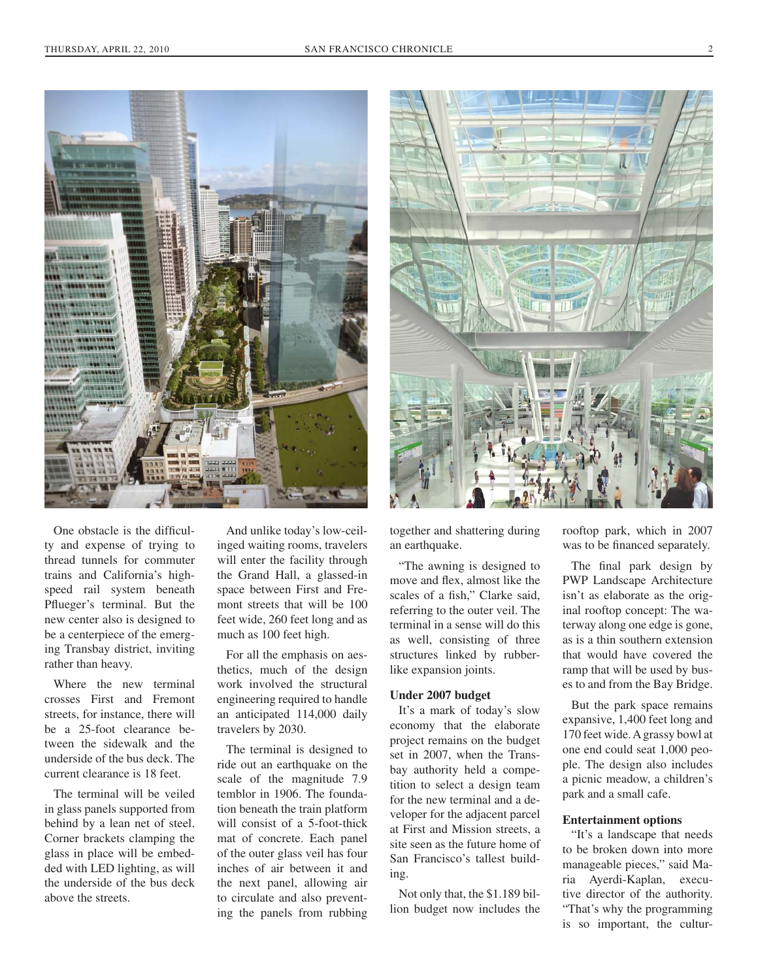



One obstacle is the difficulty and expense of trying to thread tunnels for commuter trains and California's highspeed rail system beneath Pflueger's terminal. But the new center also is designed to be a centerpiece of the emerging Transbay district, inviting rather than heavy.

Where the new terminal crosses First and Fremont streets, for instance, there will be a 25-foot clearance between the sidewalk and the underside of the bus deck. The current clearance is 18 feet.

The terminal will be veiled in glass panels supported from behind by a lean net of steel. Corner brackets clamping the glass in place will be embedded with LED lighting, as will the underside of the bus deck above the streets.

And unlike today's low-ceilinged waiting rooms, travelers will enter the facility through the Grand Hall, a glassed-in space between First and Fremont streets that will be 100 feet wide, 260 feet long and as much as 100 feet high.

For all the emphasis on aesthetics, much of the design work involved the structural engineering required to handle an anticipated 114,000 daily travelers by 2030.

The terminal is designed to ride out an earthquake on the scale of the magnitude 7.9 temblor in 1906. The foundation beneath the train platform will consist of a 5-foot-thick mat of concrete. Each panel of the outer glass veil has four inches of air between it and the next panel, allowing air to circulate and also preventing the panels from rubbing

together and shattering during an earthquake.

"The awning is designed to move and flex, almost like the scales of a fish," Clarke said, referring to the outer veil. The terminal in a sense will do this as well, consisting of three structures linked by rubberlike expansion joints.

#### **Under 2007 budget**

It's a mark of today's slow economy that the elaborate project remains on the budget set in 2007, when the Transbay authority held a competition to select a design team for the new terminal and a developer for the adjacent parcel at First and Mission streets, a site seen as the future home of San Francisco's tallest building.

Not only that, the \$1.189 billion budget now includes the

rooftop park, which in 2007 was to be financed separately.

The final park design by PWP Landscape Architecture isn't as elaborate as the original rooftop concept: The waterway along one edge is gone, as is a thin southern extension that would have covered the ramp that will be used by buses to and from the Bay Bridge.

But the park space remains expansive, 1,400 feet long and 170 feet wide. A grassy bowl at one end could seat 1,000 people. The design also includes a picnic meadow, a children's park and a small cafe.

#### **Entertainment options**

"It's a landscape that needs to be broken down into more manageable pieces," said Maria Ayerdi-Kaplan, executive director of the authority. "That's why the programming is so important, the cultur-